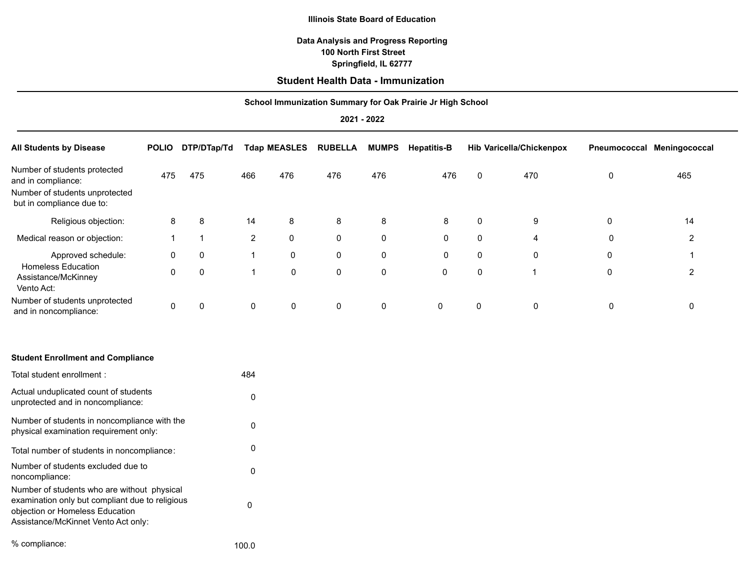#### **Illinois State Board of Education**

# **Data Analysis and Progress Reporting Springfield, IL 62777 100 North First Street**

# **Student Health Data - Immunization**

### **School Immunization Summary for Oak Prairie Jr High School**

**2021 - 2022**

| <b>All Students by Disease</b>                                                                                    | <b>POLIO</b> | DTP/DTap/Td |                | <b>Tdap MEASLES</b> | <b>RUBELLA</b> | <b>MUMPS</b> | <b>Hepatitis-B</b> |          | <b>Hib Varicella/Chickenpox</b> | Pneumococcal | Meningococcal |
|-------------------------------------------------------------------------------------------------------------------|--------------|-------------|----------------|---------------------|----------------|--------------|--------------------|----------|---------------------------------|--------------|---------------|
| Number of students protected<br>and in compliance:<br>Number of students unprotected<br>but in compliance due to: | 475          | 475         | 466            | 476                 | 476            | 476          | 476                | 0        | 470                             | $\mathbf{0}$ | 465           |
| Religious objection:                                                                                              | 8            | 8           | 14             | 8                   | 8              | 8            | 8                  | 0        | 9                               | $\mathbf 0$  | 14            |
| Medical reason or objection:                                                                                      |              |             | $\overline{2}$ | $\mathbf 0$         | 0              | $\mathbf 0$  | 0                  | $\Omega$ | 4                               | $\Omega$     | 2             |
| Approved schedule:                                                                                                | $\Omega$     | $\mathbf 0$ | $\mathbf{1}$   | 0                   | 0              | 0            | 0                  | 0        | 0                               | 0            |               |
| <b>Homeless Education</b><br>Assistance/McKinney<br>Vento Act:                                                    | $\mathbf{0}$ | $\Omega$    | $\mathbf 1$    | 0                   | 0              | $\mathbf 0$  | $\mathbf 0$        | $\Omega$ | и                               | 0            | 2             |
| Number of students unprotected<br>and in noncompliance:                                                           | $\mathbf 0$  | $\mathbf 0$ | 0              | 0                   | 0              | $\mathbf 0$  | $\mathbf 0$        | 0        | $\mathbf 0$                     | 0            | 0             |
|                                                                                                                   |              |             |                |                     |                |              |                    |          |                                 |              |               |

| <b>Student Enrollment and Compliance</b>                                                                                                                                 |       |
|--------------------------------------------------------------------------------------------------------------------------------------------------------------------------|-------|
| Total student enrollment:                                                                                                                                                | 484   |
| Actual unduplicated count of students<br>unprotected and in noncompliance:                                                                                               | ŋ     |
| Number of students in noncompliance with the<br>physical examination requirement only:                                                                                   | 0     |
| Total number of students in noncompliance:                                                                                                                               | 0     |
| Number of students excluded due to<br>noncompliance:                                                                                                                     | O     |
| Number of students who are without physical<br>examination only but compliant due to religious<br>objection or Homeless Education<br>Assistance/McKinnet Vento Act only: | n     |
| % compliance:                                                                                                                                                            | 100.0 |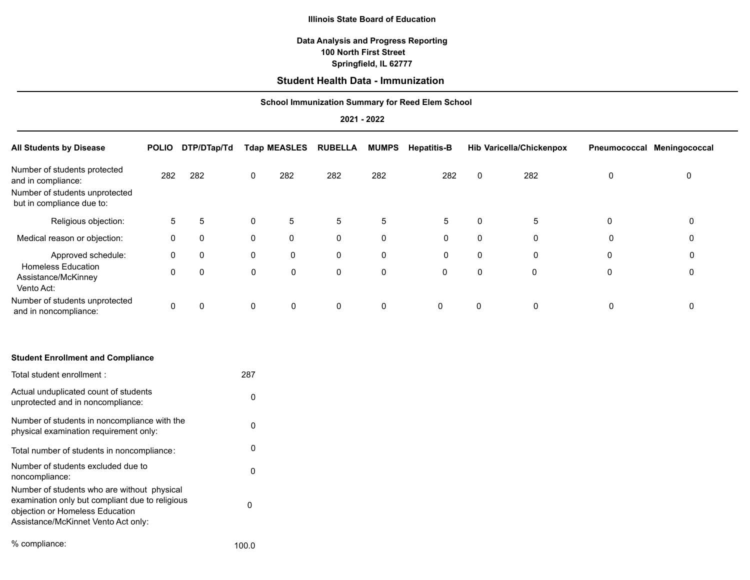#### **Illinois State Board of Education**

# **Data Analysis and Progress Reporting Springfield, IL 62777 100 North First Street**

# **Student Health Data - Immunization**

### **School Immunization Summary for Reed Elem School**

## **2021 - 2022**

| <b>All Students by Disease</b>                                                                                    | <b>POLIO</b> | DTP/DTap/Td |             | <b>Tdap MEASLES</b> | <b>RUBELLA</b> | <b>MUMPS</b> | <b>Hepatitis-B</b> |   | <b>Hib Varicella/Chickenpox</b> | Pneumococcal | Meningococcal |
|-------------------------------------------------------------------------------------------------------------------|--------------|-------------|-------------|---------------------|----------------|--------------|--------------------|---|---------------------------------|--------------|---------------|
| Number of students protected<br>and in compliance:<br>Number of students unprotected<br>but in compliance due to: | 282          | 282         | 0           | 282                 | 282            | 282          | 282                | 0 | 282                             | 0            | 0             |
| Religious objection:                                                                                              | 5            | 5           | 0           | 5                   | 5              | 5            | $\overline{5}$     | 0 | 5                               | $\mathbf{0}$ | 0             |
| Medical reason or objection:                                                                                      | 0            | $\mathbf 0$ | 0           | 0                   | 0              | 0            | 0                  | 0 | 0                               | 0            | 0             |
| Approved schedule:                                                                                                | 0            | $\mathbf 0$ | $\mathbf 0$ | 0                   | $\pmb{0}$      | $\pmb{0}$    | $\mathbf 0$        | 0 | 0                               | 0            | 0             |
| <b>Homeless Education</b><br>Assistance/McKinney<br>Vento Act:                                                    | $\Omega$     | $\mathbf 0$ | 0           | $\mathbf 0$         | $\pmb{0}$      | $\pmb{0}$    | 0                  | 0 | $\mathbf 0$                     | 0            | 0             |
| Number of students unprotected<br>and in noncompliance:                                                           | 0            | 0           | $\pmb{0}$   | 0                   | $\mathbf 0$    | 0            | $\mathbf 0$        | 0 | 0                               | 0            | 0             |
| <b>Student Enrollment and Compliance</b>                                                                          |              |             |             |                     |                |              |                    |   |                                 |              |               |
| Total student enrollment :                                                                                        |              |             | 287         |                     |                |              |                    |   |                                 |              |               |
| Actual unduplicated count of students<br>unprotected and in noncompliance:                                        |              |             | $\pmb{0}$   |                     |                |              |                    |   |                                 |              |               |
| Number of students in noncompliance with the                                                                      |              |             | $\sim$      |                     |                |              |                    |   |                                 |              |               |

| Number of students in noncompliance with the<br>physical examination requirement only:                                                                                   | 0 |
|--------------------------------------------------------------------------------------------------------------------------------------------------------------------------|---|
| Total number of students in noncompliance:                                                                                                                               | 0 |
| Number of students excluded due to<br>noncompliance:                                                                                                                     | 0 |
| Number of students who are without physical<br>examination only but compliant due to religious<br>objection or Homeless Education<br>Assistance/McKinnet Vento Act only: | 0 |

| % compliance: | 100.0 |
|---------------|-------|
|               |       |